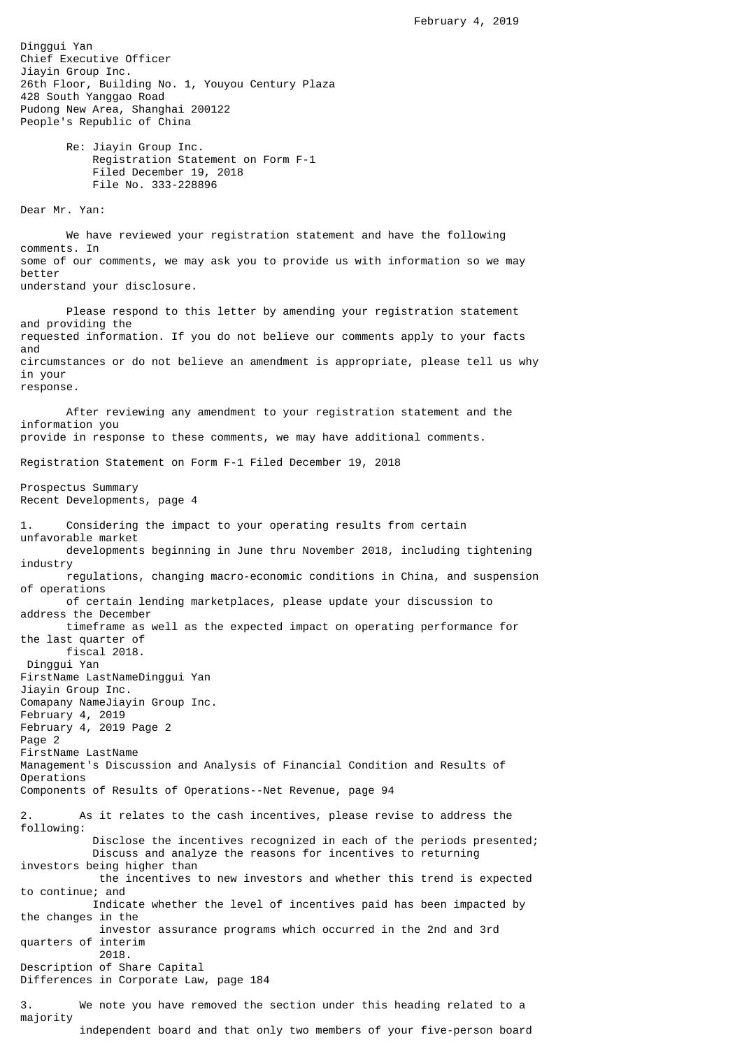Dinggui Yan Chief Executive Officer Jiayin Group Inc. 26th Floor, Building No. 1, Youyou Century Plaza 428 South Yanggao Road Pudong New Area, Shanghai 200122 People's Republic of China Re: Jiayin Group Inc. Registration Statement on Form F-1 Filed December 19, 2018 File No. 333-228896 Dear Mr. Yan: We have reviewed your registration statement and have the following comments. In some of our comments, we may ask you to provide us with information so we may better understand your disclosure. Please respond to this letter by amending your registration statement and providing the requested information. If you do not believe our comments apply to your facts and circumstances or do not believe an amendment is appropriate, please tell us why in your response. After reviewing any amendment to your registration statement and the information you provide in response to these comments, we may have additional comments. Registration Statement on Form F-1 Filed December 19, 2018 Prospectus Summary Recent Developments, page 4 1. Considering the impact to your operating results from certain unfavorable market developments beginning in June thru November 2018, including tightening industry regulations, changing macro-economic conditions in China, and suspension of operations of certain lending marketplaces, please update your discussion to address the December timeframe as well as the expected impact on operating performance for the last quarter of fiscal 2018. Dinggui Yan FirstName LastNameDinggui Yan Jiayin Group Inc. Comapany NameJiayin Group Inc. February 4, 2019 February 4, 2019 Page 2 Page 2 FirstName LastName Management's Discussion and Analysis of Financial Condition and Results of Operations Components of Results of Operations--Net Revenue, page 94 2. As it relates to the cash incentives, please revise to address the following: Disclose the incentives recognized in each of the periods presented; Discuss and analyze the reasons for incentives to returning investors being higher than the incentives to new investors and whether this trend is expected to continue; and Indicate whether the level of incentives paid has been impacted by the changes in the investor assurance programs which occurred in the 2nd and 3rd quarters of interim 2018. Description of Share Capital Differences in Corporate Law, page 184 3. We note you have removed the section under this heading related to a majority independent board and that only two members of your five-person board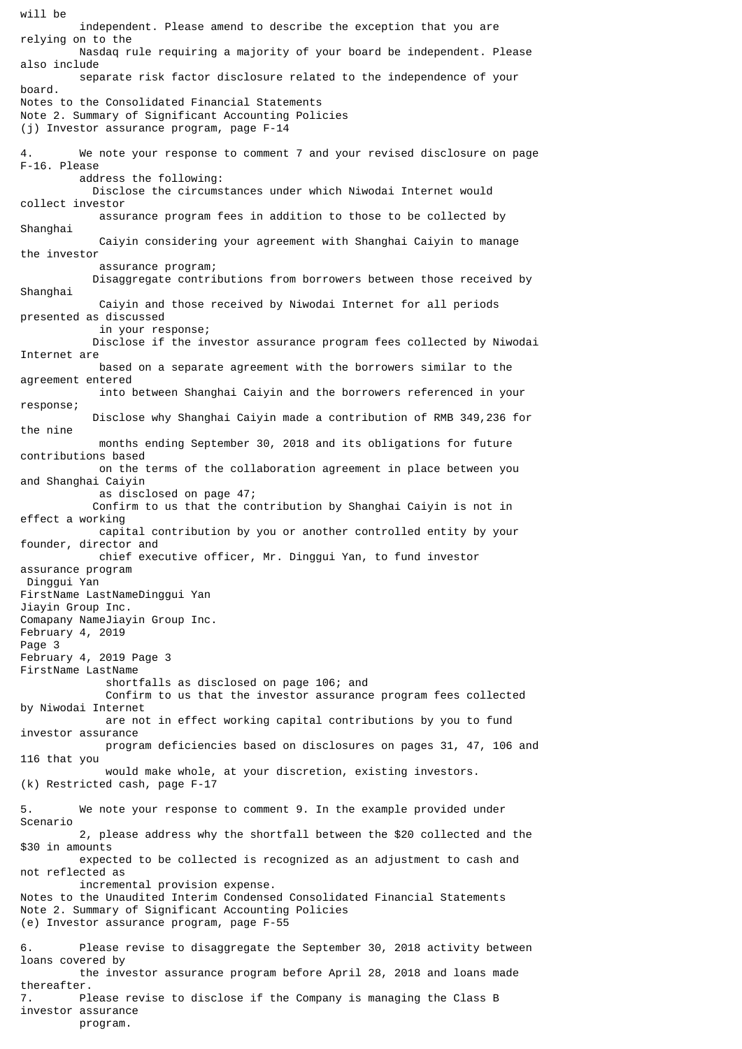will be independent. Please amend to describe the exception that you are relying on to the Nasdaq rule requiring a majority of your board be independent. Please also include separate risk factor disclosure related to the independence of your board. Notes to the Consolidated Financial Statements Note 2. Summary of Significant Accounting Policies (j) Investor assurance program, page F-14 4. We note your response to comment 7 and your revised disclosure on page F-16. Please address the following: Disclose the circumstances under which Niwodai Internet would collect investor assurance program fees in addition to those to be collected by Shanghai Caiyin considering your agreement with Shanghai Caiyin to manage the investor assurance program; Disaggregate contributions from borrowers between those received by Shanghai Caiyin and those received by Niwodai Internet for all periods presented as discussed in your response; Disclose if the investor assurance program fees collected by Niwodai Internet are based on a separate agreement with the borrowers similar to the agreement entered into between Shanghai Caiyin and the borrowers referenced in your response; Disclose why Shanghai Caiyin made a contribution of RMB 349,236 for the nine months ending September 30, 2018 and its obligations for future contributions based on the terms of the collaboration agreement in place between you and Shanghai Caiyin as disclosed on page 47; Confirm to us that the contribution by Shanghai Caiyin is not in effect a working capital contribution by you or another controlled entity by your founder, director and chief executive officer, Mr. Dinggui Yan, to fund investor assurance program Dinggui Yan FirstName LastNameDinggui Yan Jiayin Group Inc. Comapany NameJiayin Group Inc. February 4, 2019 Page 3 February 4, 2019 Page 3 FirstName LastName shortfalls as disclosed on page 106; and Confirm to us that the investor assurance program fees collected by Niwodai Internet are not in effect working capital contributions by you to fund investor assurance program deficiencies based on disclosures on pages 31, 47, 106 and 116 that you would make whole, at your discretion, existing investors. (k) Restricted cash, page F-17 5. We note your response to comment 9. In the example provided under Scenario 2, please address why the shortfall between the \$20 collected and the \$30 in amounts expected to be collected is recognized as an adjustment to cash and not reflected as incremental provision expense. Notes to the Unaudited Interim Condensed Consolidated Financial Statements Note 2. Summary of Significant Accounting Policies (e) Investor assurance program, page F-55 6. Please revise to disaggregate the September 30, 2018 activity between loans covered by the investor assurance program before April 28, 2018 and loans made thereafter. 7. Please revise to disclose if the Company is managing the Class B investor assurance

program.